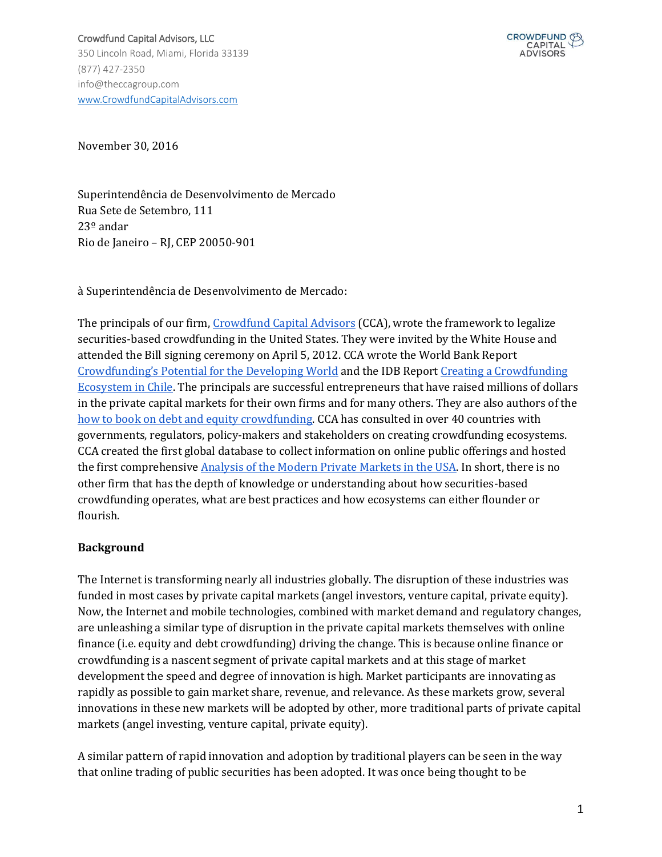

November 30, 2016

Superintendência de Desenvolvimento de Mercado Rua Sete de Setembro, 111 23º andar Rio de Janeiro – RJ, CEP 20050-901

à Superintendência de Desenvolvimento de Mercado:

The principals of our fir[m,](http://www.theccagroup.com/) [Crowdfund Capital Advisors](http://www.theccagroup.com/) (CCA), wrote the framework to legalize securities-based crowdfunding in the United States. They were invited by the White House and attended the Bill signing ceremony on April 5, 2012. CCA wrote the World Bank Repor[t](http://www.infodev.org/infodev-files/wb_crowdfundingreport-v12.pdf) [Crowdfunding's Potential for the Developing World](http://www.infodev.org/infodev-files/wb_crowdfundingreport-v12.pdf) and the IDB Repor[t](http://idbdocs.iadb.org/wsdocs/getDocument.aspx?DOCNUM=39725763) [Creating a Crowdfunding](http://idbdocs.iadb.org/wsdocs/getDocument.aspx?DOCNUM=39725763)  Ecosystem in Chile. The principals are successful entrepreneurs that have raised millions of dollars in the private capital markets for their own firms and for many others. They are also authors of th[e](https://www.amazon.com/Crowdfund-Investing-Dummies-Sherwood-Neiss/dp/111844969X) [how to book on debt and equity crowdfunding.](https://www.amazon.com/Crowdfund-Investing-Dummies-Sherwood-Neiss/dp/111844969X) CCA has consulted in over 40 countries with governments, regulators, policy-makers and stakeholders on creating crowdfunding ecosystems. CCA created the first global database to collect information on online public offerings and hosted the first comprehensiv[e](http://app.webinarjam.net/register/32977/a4eba367fd) [Analysis of the Modern Private Markets in the USA.](http://app.webinarjam.net/register/32977/a4eba367fd) In short, there is no other firm that has the depth of knowledge or understanding about how securities-based crowdfunding operates, what are best practices and how ecosystems can either flounder or flourish.

#### **Background**

The Internet is transforming nearly all industries globally. The disruption of these industries was funded in most cases by private capital markets (angel investors, venture capital, private equity). Now, the Internet and mobile technologies, combined with market demand and regulatory changes, are unleashing a similar type of disruption in the private capital markets themselves with online finance (i.e. equity and debt crowdfunding) driving the change. This is because online finance or crowdfunding is a nascent segment of private capital markets and at this stage of market development the speed and degree of innovation is high. Market participants are innovating as rapidly as possible to gain market share, revenue, and relevance. As these markets grow, several innovations in these new markets will be adopted by other, more traditional parts of private capital markets (angel investing, venture capital, private equity).

A similar pattern of rapid innovation and adoption by traditional players can be seen in the way that online trading of public securities has been adopted. It was once being thought to be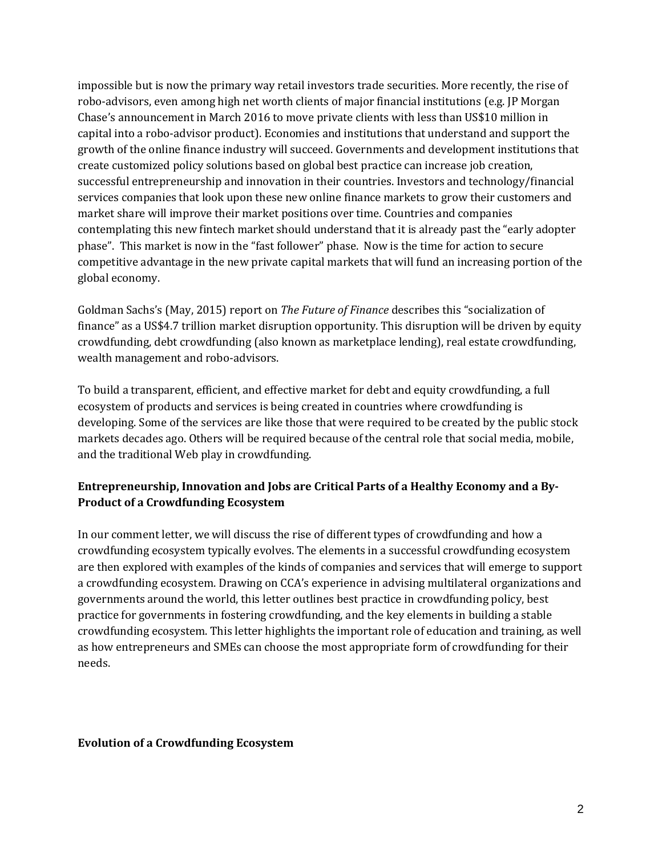impossible but is now the primary way retail investors trade securities. More recently, the rise of robo-advisors, even among high net worth clients of major financial institutions (e.g. JP Morgan Chase's announcement in March 2016 to move private clients with less than US\$10 million in capital into a robo-advisor product). Economies and institutions that understand and support the growth of the online finance industry will succeed. Governments and development institutions that create customized policy solutions based on global best practice can increase job creation, successful entrepreneurship and innovation in their countries. Investors and technology/financial services companies that look upon these new online finance markets to grow their customers and market share will improve their market positions over time. Countries and companies contemplating this new fintech market should understand that it is already past the "early adopter phase". This market is now in the "fast follower" phase. Now is the time for action to secure competitive advantage in the new private capital markets that will fund an increasing portion of the global economy.

Goldman Sachs's (May, 2015) report on *The Future of Finance* describes this "socialization of finance" as a US\$4.7 trillion market disruption opportunity. This disruption will be driven by equity crowdfunding, debt crowdfunding (also known as marketplace lending), real estate crowdfunding, wealth management and robo-advisors.

To build a transparent, efficient, and effective market for debt and equity crowdfunding, a full ecosystem of products and services is being created in countries where crowdfunding is developing. Some of the services are like those that were required to be created by the public stock markets decades ago. Others will be required because of the central role that social media, mobile, and the traditional Web play in crowdfunding.

# **Entrepreneurship, Innovation and Jobs are Critical Parts of a Healthy Economy and a By-Product of a Crowdfunding Ecosystem**

In our comment letter, we will discuss the rise of different types of crowdfunding and how a crowdfunding ecosystem typically evolves. The elements in a successful crowdfunding ecosystem are then explored with examples of the kinds of companies and services that will emerge to support a crowdfunding ecosystem. Drawing on CCA's experience in advising multilateral organizations and governments around the world, this letter outlines best practice in crowdfunding policy, best practice for governments in fostering crowdfunding, and the key elements in building a stable crowdfunding ecosystem. This letter highlights the important role of education and training, as well as how entrepreneurs and SMEs can choose the most appropriate form of crowdfunding for their needs.

#### **Evolution of a Crowdfunding Ecosystem**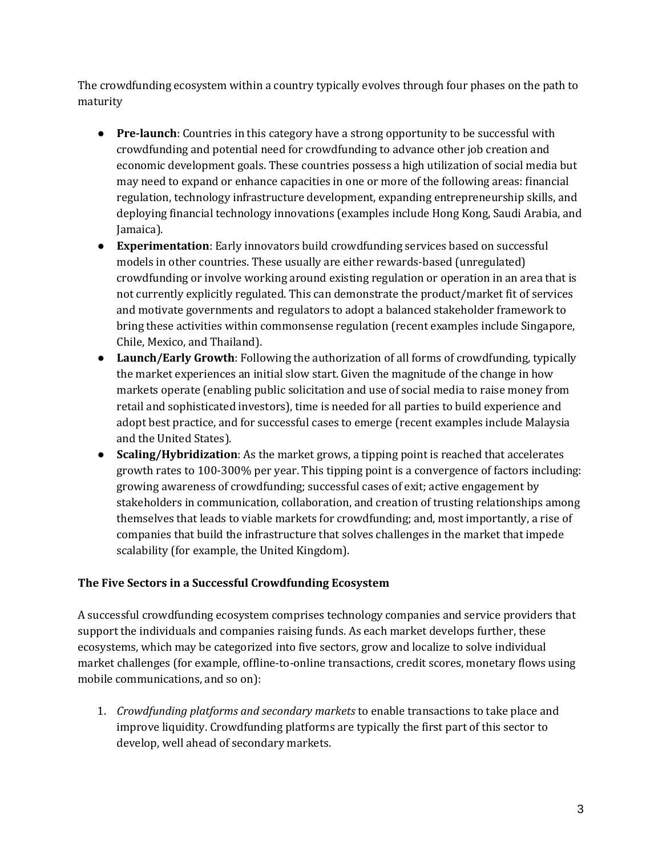The crowdfunding ecosystem within a country typically evolves through four phases on the path to maturity

- **Pre-launch**: Countries in this category have a strong opportunity to be successful with crowdfunding and potential need for crowdfunding to advance other job creation and economic development goals. These countries possess a high utilization of social media but may need to expand or enhance capacities in one or more of the following areas: financial regulation, technology infrastructure development, expanding entrepreneurship skills, and deploying financial technology innovations (examples include Hong Kong, Saudi Arabia, and Jamaica).
- **Experimentation**: Early innovators build crowdfunding services based on successful models in other countries. These usually are either rewards-based (unregulated) crowdfunding or involve working around existing regulation or operation in an area that is not currently explicitly regulated. This can demonstrate the product/market fit of services and motivate governments and regulators to adopt a balanced stakeholder framework to bring these activities within commonsense regulation (recent examples include Singapore, Chile, Mexico, and Thailand).
- **Launch/Early Growth**: Following the authorization of all forms of crowdfunding, typically the market experiences an initial slow start. Given the magnitude of the change in how markets operate (enabling public solicitation and use of social media to raise money from retail and sophisticated investors), time is needed for all parties to build experience and adopt best practice, and for successful cases to emerge (recent examples include Malaysia and the United States).
- **Scaling/Hybridization**: As the market grows, a tipping point is reached that accelerates growth rates to 100-300% per year. This tipping point is a convergence of factors including: growing awareness of crowdfunding; successful cases of exit; active engagement by stakeholders in communication, collaboration, and creation of trusting relationships among themselves that leads to viable markets for crowdfunding; and, most importantly, a rise of companies that build the infrastructure that solves challenges in the market that impede scalability (for example, the United Kingdom).

### **The Five Sectors in a Successful Crowdfunding Ecosystem**

A successful crowdfunding ecosystem comprises technology companies and service providers that support the individuals and companies raising funds. As each market develops further, these ecosystems, which may be categorized into five sectors, grow and localize to solve individual market challenges (for example, offline-to-online transactions, credit scores, monetary flows using mobile communications, and so on):

1. *Crowdfunding platforms and secondary markets* to enable transactions to take place and improve liquidity. Crowdfunding platforms are typically the first part of this sector to develop, well ahead of secondary markets.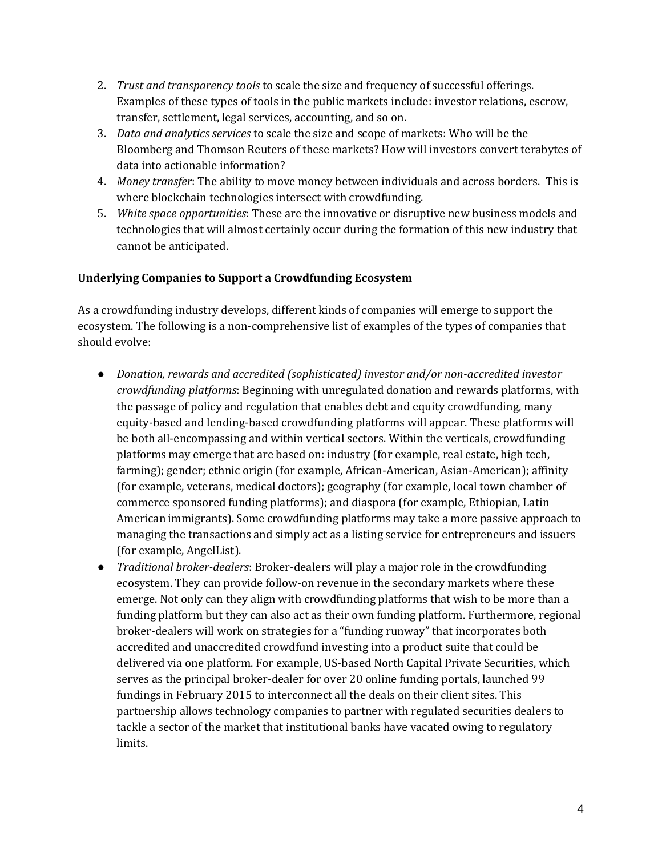- 2. *Trust and transparency tools* to scale the size and frequency of successful offerings. Examples of these types of tools in the public markets include: investor relations, escrow, transfer, settlement, legal services, accounting, and so on.
- 3. *Data and analytics services* to scale the size and scope of markets: Who will be the Bloomberg and Thomson Reuters of these markets? How will investors convert terabytes of data into actionable information?
- 4. *Money transfer*: The ability to move money between individuals and across borders. This is where blockchain technologies intersect with crowdfunding.
- 5. *White space opportunities*: These are the innovative or disruptive new business models and technologies that will almost certainly occur during the formation of this new industry that cannot be anticipated.

### **Underlying Companies to Support a Crowdfunding Ecosystem**

As a crowdfunding industry develops, different kinds of companies will emerge to support the ecosystem. The following is a non-comprehensive list of examples of the types of companies that should evolve:

- *Donation, rewards and accredited (sophisticated) investor and/or non-accredited investor crowdfunding platforms*: Beginning with unregulated donation and rewards platforms, with the passage of policy and regulation that enables debt and equity crowdfunding, many equity-based and lending-based crowdfunding platforms will appear. These platforms will be both all-encompassing and within vertical sectors. Within the verticals, crowdfunding platforms may emerge that are based on: industry (for example, real estate, high tech, farming); gender; ethnic origin (for example, African-American, Asian-American); affinity (for example, veterans, medical doctors); geography (for example, local town chamber of commerce sponsored funding platforms); and diaspora (for example, Ethiopian, Latin American immigrants). Some crowdfunding platforms may take a more passive approach to managing the transactions and simply act as a listing service for entrepreneurs and issuers (for example, AngelList).
- *Traditional broker-dealers*: Broker-dealers will play a major role in the crowdfunding ecosystem. They can provide follow-on revenue in the secondary markets where these emerge. Not only can they align with crowdfunding platforms that wish to be more than a funding platform but they can also act as their own funding platform. Furthermore, regional broker-dealers will work on strategies for a "funding runway" that incorporates both accredited and unaccredited crowdfund investing into a product suite that could be delivered via one platform. For example, US-based North Capital Private Securities, which serves as the principal broker-dealer for over 20 online funding portals, launched 99 fundings in February 2015 to interconnect all the deals on their client sites. This partnership allows technology companies to partner with regulated securities dealers to tackle a sector of the market that institutional banks have vacated owing to regulatory limits.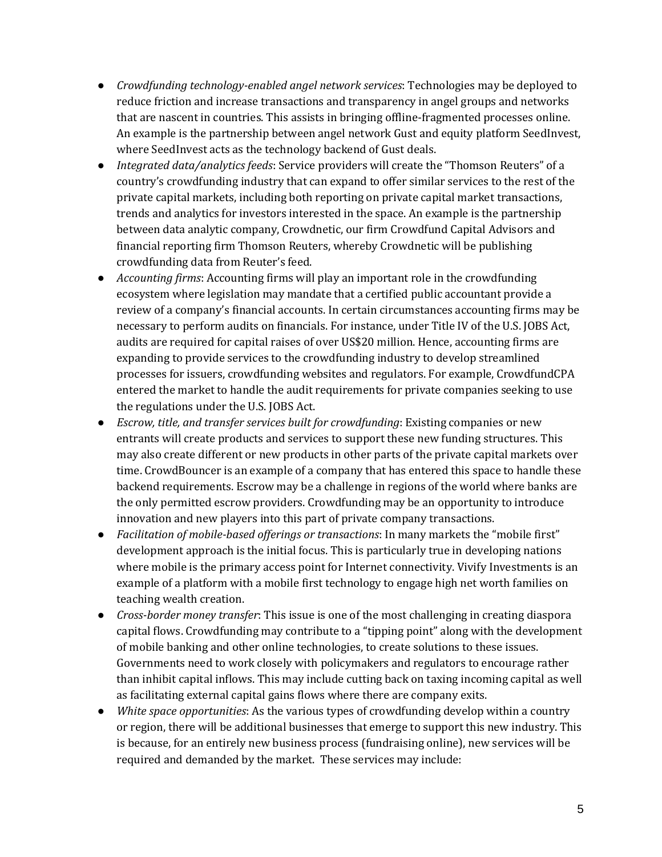- *Crowdfunding technology-enabled angel network services*: Technologies may be deployed to reduce friction and increase transactions and transparency in angel groups and networks that are nascent in countries. This assists in bringing offline-fragmented processes online. An example is the partnership between angel network Gust and equity platform SeedInvest, where SeedInvest acts as the technology backend of Gust deals.
- *Integrated data/analytics feeds*: Service providers will create the "Thomson Reuters" of a country's crowdfunding industry that can expand to offer similar services to the rest of the private capital markets, including both reporting on private capital market transactions, trends and analytics for investors interested in the space. An example is the partnership between data analytic company, Crowdnetic, our firm Crowdfund Capital Advisors and financial reporting firm Thomson Reuters, whereby Crowdnetic will be publishing crowdfunding data from Reuter's feed.
- *Accounting firms*: Accounting firms will play an important role in the crowdfunding ecosystem where legislation may mandate that a certified public accountant provide a review of a company's financial accounts. In certain circumstances accounting firms may be necessary to perform audits on financials. For instance, under Title IV of the U.S. JOBS Act, audits are required for capital raises of over US\$20 million. Hence, accounting firms are expanding to provide services to the crowdfunding industry to develop streamlined processes for issuers, crowdfunding websites and regulators. For example, CrowdfundCPA entered the market to handle the audit requirements for private companies seeking to use the regulations under the U.S. JOBS Act.
- *Escrow, title, and transfer services built for crowdfunding*: Existing companies or new entrants will create products and services to support these new funding structures. This may also create different or new products in other parts of the private capital markets over time. CrowdBouncer is an example of a company that has entered this space to handle these backend requirements. Escrow may be a challenge in regions of the world where banks are the only permitted escrow providers. Crowdfunding may be an opportunity to introduce innovation and new players into this part of private company transactions.
- *Facilitation of mobile-based offerings or transactions*: In many markets the "mobile first" development approach is the initial focus. This is particularly true in developing nations where mobile is the primary access point for Internet connectivity. Vivify Investments is an example of a platform with a mobile first technology to engage high net worth families on teaching wealth creation.
- *Cross-border money transfer*: This issue is one of the most challenging in creating diaspora capital flows. Crowdfunding may contribute to a "tipping point" along with the development of mobile banking and other online technologies, to create solutions to these issues. Governments need to work closely with policymakers and regulators to encourage rather than inhibit capital inflows. This may include cutting back on taxing incoming capital as well as facilitating external capital gains flows where there are company exits.
- *White space opportunities*: As the various types of crowdfunding develop within a country or region, there will be additional businesses that emerge to support this new industry. This is because, for an entirely new business process (fundraising online), new services will be required and demanded by the market. These services may include: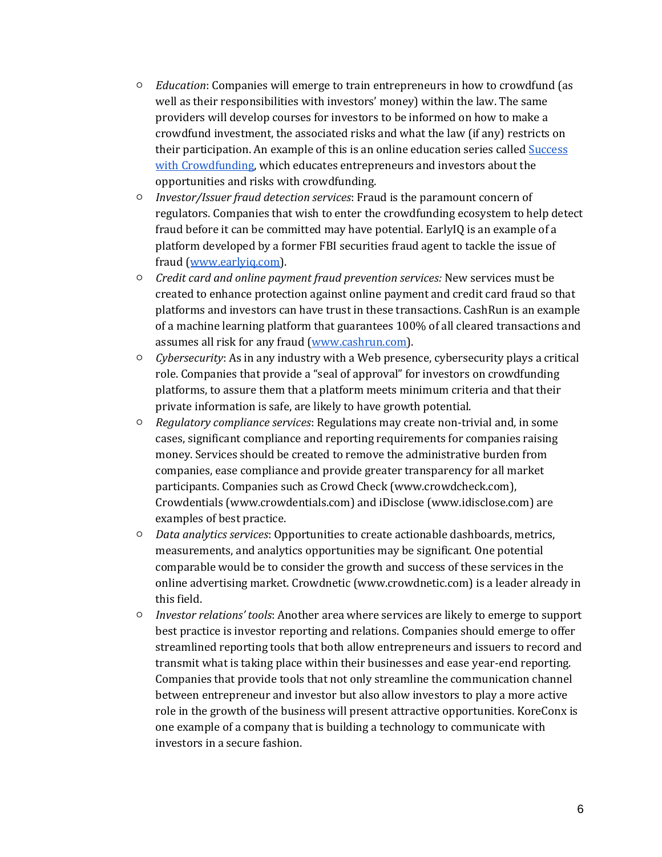- *Education*: Companies will emerge to train entrepreneurs in how to crowdfund (as well as their responsibilities with investors' money) within the law. The same providers will develop courses for investors to be informed on how to make a crowdfund investment, the associated risks and what the law (if any) restricts on their participation. An example of this is an online education series called [Success](http://www.successwithcrowdfunding.com/)  with Crowdfunding, which educates entrepreneurs and investors about the opportunities and risks with crowdfunding.
- *Investor/Issuer fraud detection services*: Fraud is the paramount concern of regulators. Companies that wish to enter the crowdfunding ecosystem to help detect fraud before it can be committed may have potential. EarlyIQ is an example of a platform developed by a former FBI securities fraud agent to tackle the issue of fraud [\(www.earlyiq.com\)](http://www.earlyiq.com/).
- *Credit card and online payment fraud prevention services:* New services must be created to enhance protection against online payment and credit card fraud so that platforms and investors can have trust in these transactions. CashRun is an example of a machine learning platform that guarantees 100% of all cleared transactions and assumes all risk for any fraud [\(www.cashrun.com\)](http://www.cashrun.com/).
- *Cybersecurity*: As in any industry with a Web presence, cybersecurity plays a critical role. Companies that provide a "seal of approval" for investors on crowdfunding platforms, to assure them that a platform meets minimum criteria and that their private information is safe, are likely to have growth potential.
- *Regulatory compliance services*: Regulations may create non-trivial and, in some cases, significant compliance and reporting requirements for companies raising money. Services should be created to remove the administrative burden from companies, ease compliance and provide greater transparency for all market participants. Companies such as Crowd Check (www.crowdcheck.com), Crowdentials (www.crowdentials.com) and iDisclose (www.idisclose.com) are examples of best practice.
- *Data analytics services*: Opportunities to create actionable dashboards, metrics, measurements, and analytics opportunities may be significant. One potential comparable would be to consider the growth and success of these services in the online advertising market. Crowdnetic (www.crowdnetic.com) is a leader already in this field.
- *Investor relations' tools*: Another area where services are likely to emerge to support best practice is investor reporting and relations. Companies should emerge to offer streamlined reporting tools that both allow entrepreneurs and issuers to record and transmit what is taking place within their businesses and ease year-end reporting. Companies that provide tools that not only streamline the communication channel between entrepreneur and investor but also allow investors to play a more active role in the growth of the business will present attractive opportunities. KoreConx is one example of a company that is building a technology to communicate with investors in a secure fashion.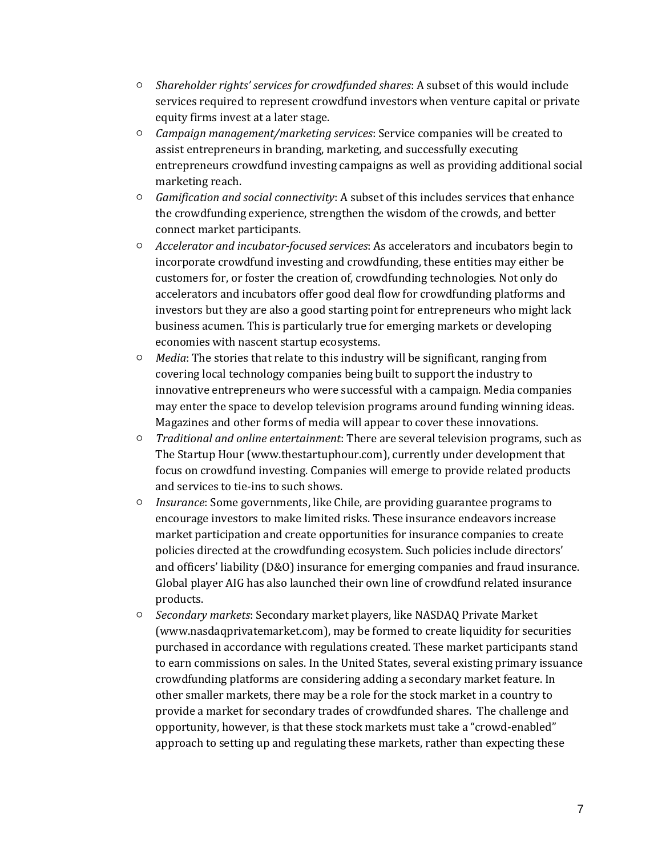- *Shareholder rights' services for crowdfunded shares*: A subset of this would include services required to represent crowdfund investors when venture capital or private equity firms invest at a later stage.
- *Campaign management/marketing services*: Service companies will be created to assist entrepreneurs in branding, marketing, and successfully executing entrepreneurs crowdfund investing campaigns as well as providing additional social marketing reach.
- *Gamification and social connectivity*: A subset of this includes services that enhance the crowdfunding experience, strengthen the wisdom of the crowds, and better connect market participants.
- *Accelerator and incubator-focused services*: As accelerators and incubators begin to incorporate crowdfund investing and crowdfunding, these entities may either be customers for, or foster the creation of, crowdfunding technologies. Not only do accelerators and incubators offer good deal flow for crowdfunding platforms and investors but they are also a good starting point for entrepreneurs who might lack business acumen. This is particularly true for emerging markets or developing economies with nascent startup ecosystems.
- *Media*: The stories that relate to this industry will be significant, ranging from covering local technology companies being built to support the industry to innovative entrepreneurs who were successful with a campaign. Media companies may enter the space to develop television programs around funding winning ideas. Magazines and other forms of media will appear to cover these innovations.
- *Traditional and online entertainment*: There are several television programs, such as The Startup Hour (www.thestartuphour.com), currently under development that focus on crowdfund investing. Companies will emerge to provide related products and services to tie-ins to such shows.
- *Insurance*: Some governments, like Chile, are providing guarantee programs to encourage investors to make limited risks. These insurance endeavors increase market participation and create opportunities for insurance companies to create policies directed at the crowdfunding ecosystem. Such policies include directors' and officers' liability (D&O) insurance for emerging companies and fraud insurance. Global player AIG has also launched their own line of crowdfund related insurance products.
- *Secondary markets*: Secondary market players, like NASDAQ Private Market (www.nasdaqprivatemarket.com), may be formed to create liquidity for securities purchased in accordance with regulations created. These market participants stand to earn commissions on sales. In the United States, several existing primary issuance crowdfunding platforms are considering adding a secondary market feature. In other smaller markets, there may be a role for the stock market in a country to provide a market for secondary trades of crowdfunded shares. The challenge and opportunity, however, is that these stock markets must take a "crowd-enabled" approach to setting up and regulating these markets, rather than expecting these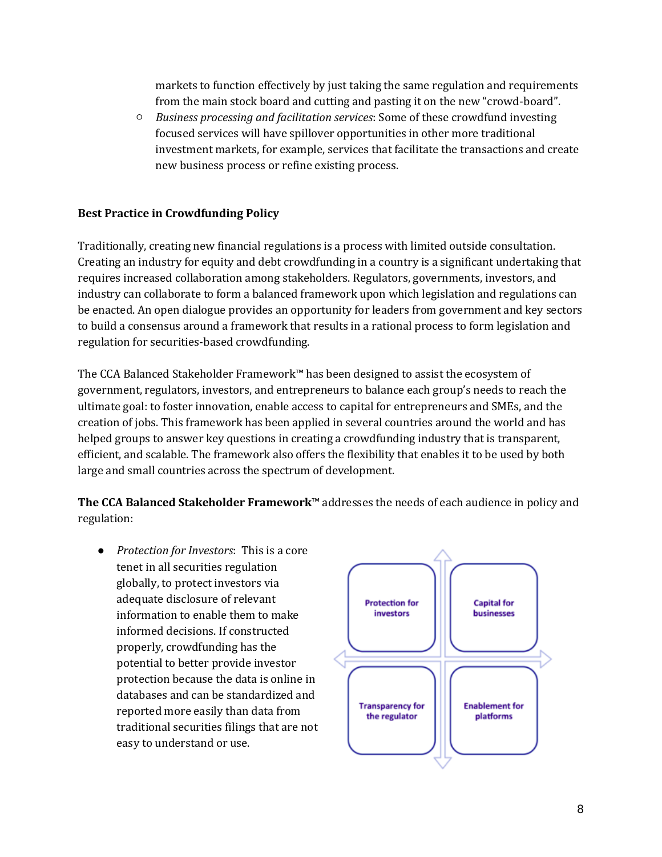markets to function effectively by just taking the same regulation and requirements from the main stock board and cutting and pasting it on the new "crowd-board".

○ *Business processing and facilitation services*: Some of these crowdfund investing focused services will have spillover opportunities in other more traditional investment markets, for example, services that facilitate the transactions and create new business process or refine existing process.

#### **Best Practice in Crowdfunding Policy**

Traditionally, creating new financial regulations is a process with limited outside consultation. Creating an industry for equity and debt crowdfunding in a country is a significant undertaking that requires increased collaboration among stakeholders. Regulators, governments, investors, and industry can collaborate to form a balanced framework upon which legislation and regulations can be enacted. An open dialogue provides an opportunity for leaders from government and key sectors to build a consensus around a framework that results in a rational process to form legislation and regulation for securities-based crowdfunding.

The CCA Balanced Stakeholder Framework™ has been designed to assist the ecosystem of government, regulators, investors, and entrepreneurs to balance each group's needs to reach the ultimate goal: to foster innovation, enable access to capital for entrepreneurs and SMEs, and the creation of jobs. This framework has been applied in several countries around the world and has helped groups to answer key questions in creating a crowdfunding industry that is transparent, efficient, and scalable. The framework also offers the flexibility that enables it to be used by both large and small countries across the spectrum of development.

**The CCA Balanced Stakeholder Framework**™ addresses the needs of each audience in policy and regulation:

● *Protection for Investors*: This is a core tenet in all securities regulation globally, to protect investors via adequate disclosure of relevant information to enable them to make informed decisions. If constructed properly, crowdfunding has the potential to better provide investor protection because the data is online in databases and can be standardized and reported more easily than data from traditional securities filings that are not easy to understand or use.

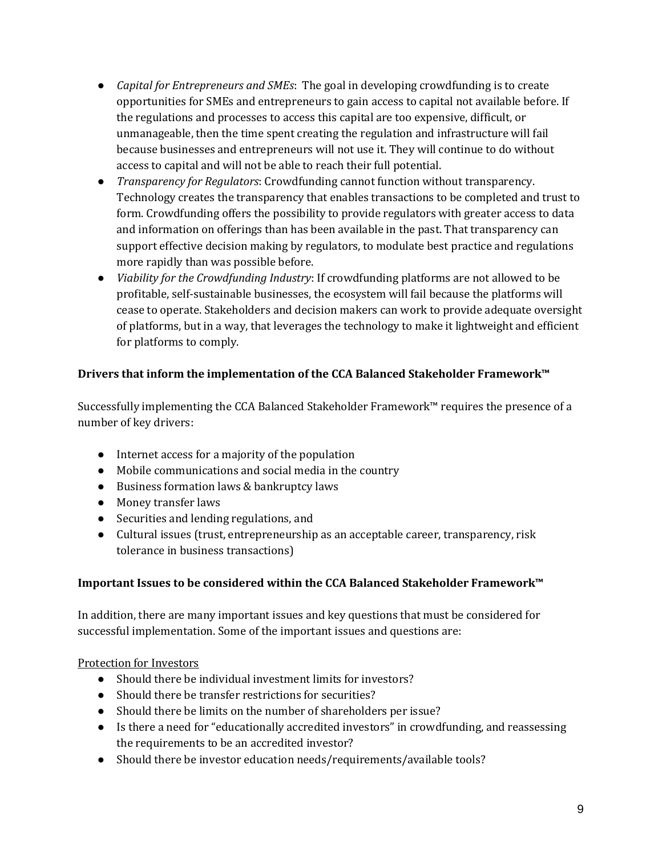- *Capital for Entrepreneurs and SMEs*: The goal in developing crowdfunding is to create opportunities for SMEs and entrepreneurs to gain access to capital not available before. If the regulations and processes to access this capital are too expensive, difficult, or unmanageable, then the time spent creating the regulation and infrastructure will fail because businesses and entrepreneurs will not use it. They will continue to do without access to capital and will not be able to reach their full potential.
- *Transparency for Regulators*: Crowdfunding cannot function without transparency. Technology creates the transparency that enables transactions to be completed and trust to form. Crowdfunding offers the possibility to provide regulators with greater access to data and information on offerings than has been available in the past. That transparency can support effective decision making by regulators, to modulate best practice and regulations more rapidly than was possible before.
- *Viability for the Crowdfunding Industry*: If crowdfunding platforms are not allowed to be profitable, self-sustainable businesses, the ecosystem will fail because the platforms will cease to operate. Stakeholders and decision makers can work to provide adequate oversight of platforms, but in a way, that leverages the technology to make it lightweight and efficient for platforms to comply.

# **Drivers that inform the implementation of the CCA Balanced Stakeholder Framework™**

Successfully implementing the CCA Balanced Stakeholder Framework™ requires the presence of a number of key drivers:

- Internet access for a majority of the population
- Mobile communications and social media in the country
- Business formation laws & bankruptcy laws
- Money transfer laws
- Securities and lending regulations, and
- Cultural issues (trust, entrepreneurship as an acceptable career, transparency, risk tolerance in business transactions)

### **Important Issues to be considered within the CCA Balanced Stakeholder Framework™**

In addition, there are many important issues and key questions that must be considered for successful implementation. Some of the important issues and questions are:

### Protection for Investors

- Should there be individual investment limits for investors?
- Should there be transfer restrictions for securities?
- Should there be limits on the number of shareholders per issue?
- Is there a need for "educationally accredited investors" in crowdfunding, and reassessing the requirements to be an accredited investor?
- Should there be investor education needs/requirements/available tools?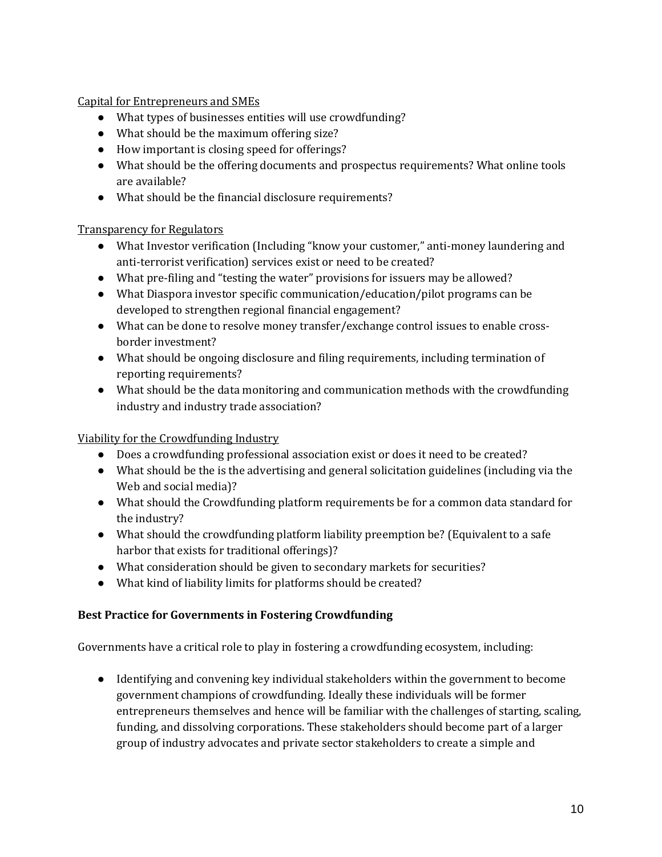Capital for Entrepreneurs and SMEs

- What types of businesses entities will use crowdfunding?
- What should be the maximum offering size?
- How important is closing speed for offerings?
- What should be the offering documents and prospectus requirements? What online tools are available?
- What should be the financial disclosure requirements?

### Transparency for Regulators

- What Investor verification (Including "know your customer," anti-money laundering and anti-terrorist verification) services exist or need to be created?
- What pre-filing and "testing the water" provisions for issuers may be allowed?
- What Diaspora investor specific communication/education/pilot programs can be developed to strengthen regional financial engagement?
- What can be done to resolve money transfer/exchange control issues to enable crossborder investment?
- What should be ongoing disclosure and filing requirements, including termination of reporting requirements?
- What should be the data monitoring and communication methods with the crowdfunding industry and industry trade association?

### Viability for the Crowdfunding Industry

- Does a crowdfunding professional association exist or does it need to be created?
- What should be the is the advertising and general solicitation guidelines (including via the Web and social media)?
- What should the Crowdfunding platform requirements be for a common data standard for the industry?
- What should the crowdfunding platform liability preemption be? (Equivalent to a safe harbor that exists for traditional offerings)?
- What consideration should be given to secondary markets for securities?
- What kind of liability limits for platforms should be created?

### **Best Practice for Governments in Fostering Crowdfunding**

Governments have a critical role to play in fostering a crowdfunding ecosystem, including:

● Identifying and convening key individual stakeholders within the government to become government champions of crowdfunding. Ideally these individuals will be former entrepreneurs themselves and hence will be familiar with the challenges of starting, scaling, funding, and dissolving corporations. These stakeholders should become part of a larger group of industry advocates and private sector stakeholders to create a simple and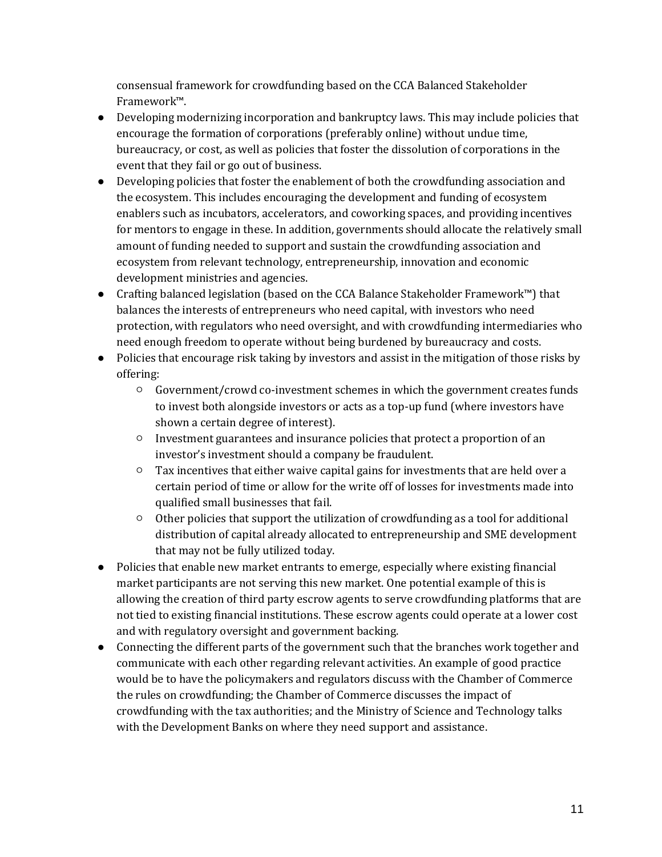consensual framework for crowdfunding based on the CCA Balanced Stakeholder Framework™.

- Developing modernizing incorporation and bankruptcy laws. This may include policies that encourage the formation of corporations (preferably online) without undue time, bureaucracy, or cost, as well as policies that foster the dissolution of corporations in the event that they fail or go out of business.
- Developing policies that foster the enablement of both the crowdfunding association and the ecosystem. This includes encouraging the development and funding of ecosystem enablers such as incubators, accelerators, and coworking spaces, and providing incentives for mentors to engage in these. In addition, governments should allocate the relatively small amount of funding needed to support and sustain the crowdfunding association and ecosystem from relevant technology, entrepreneurship, innovation and economic development ministries and agencies.
- Crafting balanced legislation (based on the CCA Balance Stakeholder Framework™) that balances the interests of entrepreneurs who need capital, with investors who need protection, with regulators who need oversight, and with crowdfunding intermediaries who need enough freedom to operate without being burdened by bureaucracy and costs.
- Policies that encourage risk taking by investors and assist in the mitigation of those risks by offering:
	- Government/crowd co-investment schemes in which the government creates funds to invest both alongside investors or acts as a top-up fund (where investors have shown a certain degree of interest).
	- Investment guarantees and insurance policies that protect a proportion of an investor's investment should a company be fraudulent.
	- $\circ$  Tax incentives that either waive capital gains for investments that are held over a certain period of time or allow for the write off of losses for investments made into qualified small businesses that fail.
	- Other policies that support the utilization of crowdfunding as a tool for additional distribution of capital already allocated to entrepreneurship and SME development that may not be fully utilized today.
- Policies that enable new market entrants to emerge, especially where existing financial market participants are not serving this new market. One potential example of this is allowing the creation of third party escrow agents to serve crowdfunding platforms that are not tied to existing financial institutions. These escrow agents could operate at a lower cost and with regulatory oversight and government backing.
- Connecting the different parts of the government such that the branches work together and communicate with each other regarding relevant activities. An example of good practice would be to have the policymakers and regulators discuss with the Chamber of Commerce the rules on crowdfunding; the Chamber of Commerce discusses the impact of crowdfunding with the tax authorities; and the Ministry of Science and Technology talks with the Development Banks on where they need support and assistance.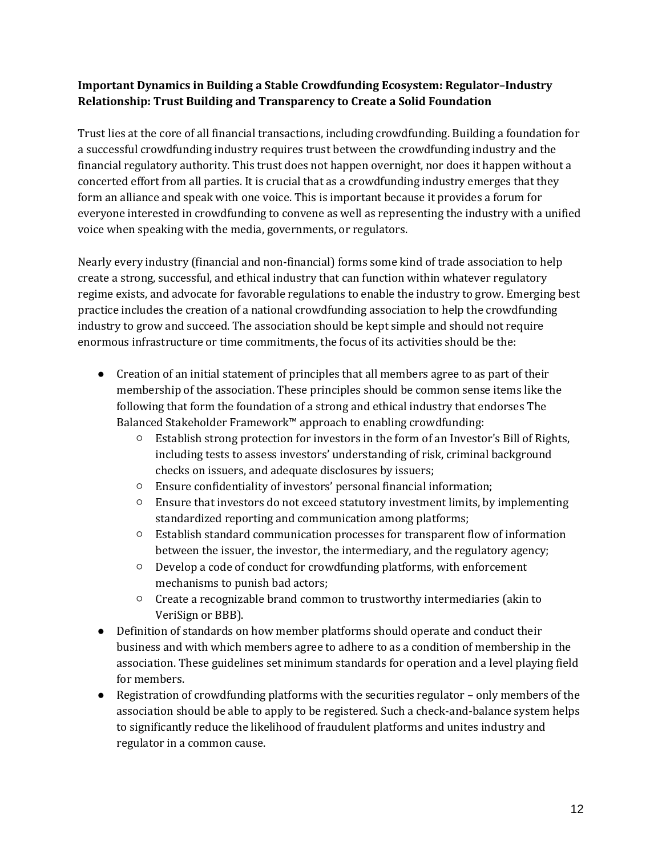## **Important Dynamics in Building a Stable Crowdfunding Ecosystem: Regulator–Industry Relationship: Trust Building and Transparency to Create a Solid Foundation**

Trust lies at the core of all financial transactions, including crowdfunding. Building a foundation for a successful crowdfunding industry requires trust between the crowdfunding industry and the financial regulatory authority. This trust does not happen overnight, nor does it happen without a concerted effort from all parties. It is crucial that as a crowdfunding industry emerges that they form an alliance and speak with one voice. This is important because it provides a forum for everyone interested in crowdfunding to convene as well as representing the industry with a unified voice when speaking with the media, governments, or regulators.

Nearly every industry (financial and non-financial) forms some kind of trade association to help create a strong, successful, and ethical industry that can function within whatever regulatory regime exists, and advocate for favorable regulations to enable the industry to grow. Emerging best practice includes the creation of a national crowdfunding association to help the crowdfunding industry to grow and succeed. The association should be kept simple and should not require enormous infrastructure or time commitments, the focus of its activities should be the:

- Creation of an initial statement of principles that all members agree to as part of their membership of the association. These principles should be common sense items like the following that form the foundation of a strong and ethical industry that endorses The Balanced Stakeholder Framework™ approach to enabling crowdfunding:
	- Establish strong protection for investors in the form of an Investor's Bill of Rights, including tests to assess investors' understanding of risk, criminal background checks on issuers, and adequate disclosures by issuers;
	- Ensure confidentiality of investors' personal financial information;
	- Ensure that investors do not exceed statutory investment limits, by implementing standardized reporting and communication among platforms;
	- Establish standard communication processes for transparent flow of information between the issuer, the investor, the intermediary, and the regulatory agency;
	- Develop a code of conduct for crowdfunding platforms, with enforcement mechanisms to punish bad actors;
	- Create a recognizable brand common to trustworthy intermediaries (akin to VeriSign or BBB).
- Definition of standards on how member platforms should operate and conduct their business and with which members agree to adhere to as a condition of membership in the association. These guidelines set minimum standards for operation and a level playing field for members.
- Registration of crowdfunding platforms with the securities regulator only members of the association should be able to apply to be registered. Such a check-and-balance system helps to significantly reduce the likelihood of fraudulent platforms and unites industry and regulator in a common cause.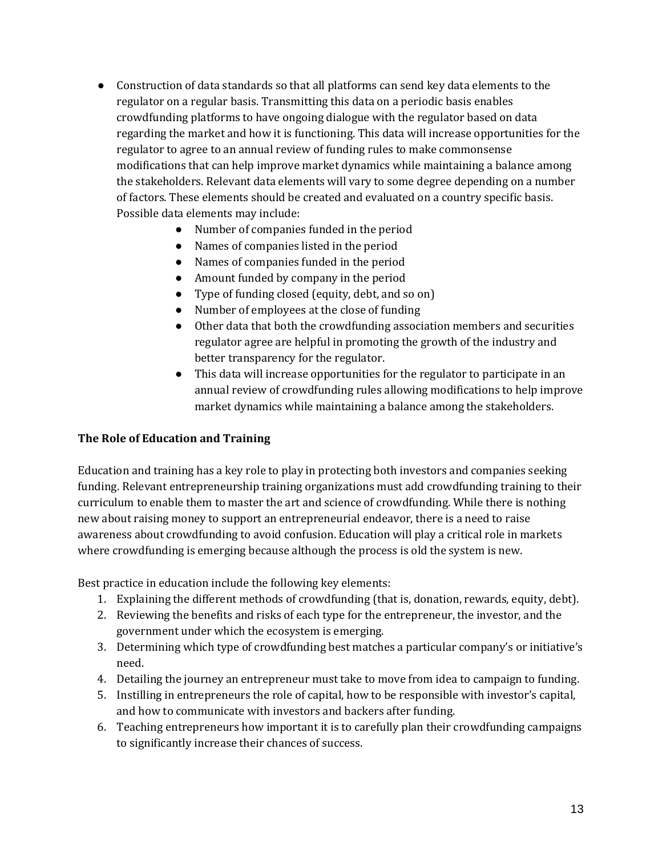- Construction of data standards so that all platforms can send key data elements to the regulator on a regular basis. Transmitting this data on a periodic basis enables crowdfunding platforms to have ongoing dialogue with the regulator based on data regarding the market and how it is functioning. This data will increase opportunities for the regulator to agree to an annual review of funding rules to make commonsense modifications that can help improve market dynamics while maintaining a balance among the stakeholders. Relevant data elements will vary to some degree depending on a number of factors. These elements should be created and evaluated on a country specific basis. Possible data elements may include:
	- Number of companies funded in the period
	- Names of companies listed in the period
	- Names of companies funded in the period
	- Amount funded by company in the period
	- Type of funding closed (equity, debt, and so on)
	- Number of employees at the close of funding
	- Other data that both the crowdfunding association members and securities regulator agree are helpful in promoting the growth of the industry and better transparency for the regulator.
	- This data will increase opportunities for the regulator to participate in an annual review of crowdfunding rules allowing modifications to help improve market dynamics while maintaining a balance among the stakeholders.

#### **The Role of Education and Training**

Education and training has a key role to play in protecting both investors and companies seeking funding. Relevant entrepreneurship training organizations must add crowdfunding training to their curriculum to enable them to master the art and science of crowdfunding. While there is nothing new about raising money to support an entrepreneurial endeavor, there is a need to raise awareness about crowdfunding to avoid confusion. Education will play a critical role in markets where crowdfunding is emerging because although the process is old the system is new.

Best practice in education include the following key elements:

- 1. Explaining the different methods of crowdfunding (that is, donation, rewards, equity, debt).
- 2. Reviewing the benefits and risks of each type for the entrepreneur, the investor, and the government under which the ecosystem is emerging.
- 3. Determining which type of crowdfunding best matches a particular company's or initiative's need.
- 4. Detailing the journey an entrepreneur must take to move from idea to campaign to funding.
- 5. Instilling in entrepreneurs the role of capital, how to be responsible with investor's capital, and how to communicate with investors and backers after funding.
- 6. Teaching entrepreneurs how important it is to carefully plan their crowdfunding campaigns to significantly increase their chances of success.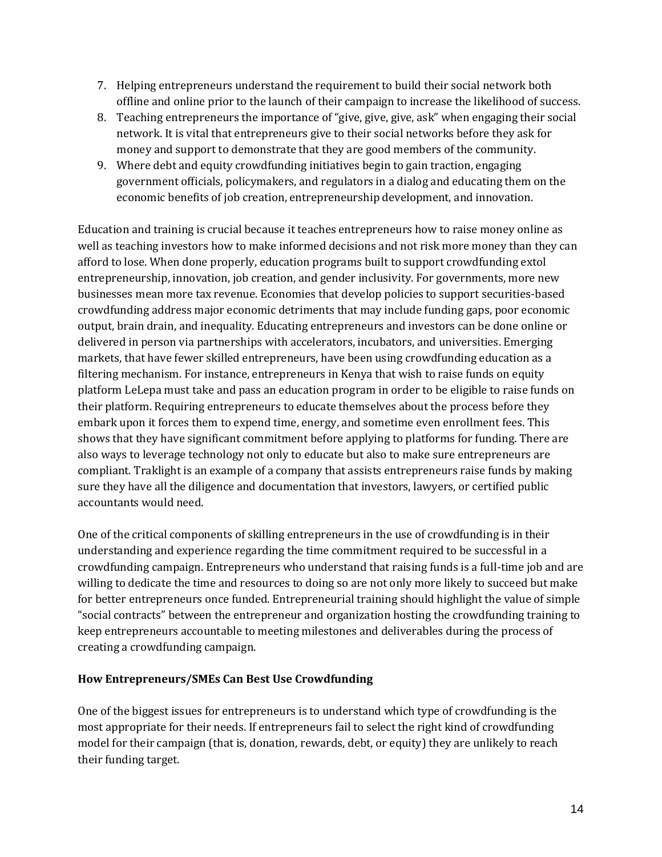- 7. Helping entrepreneurs understand the requirement to build their social network both offline and online prior to the launch of their campaign to increase the likelihood of success.
- 8. Teaching entrepreneurs the importance of "give, give, give, ask" when engaging their social network. It is vital that entrepreneurs give to their social networks before they ask for money and support to demonstrate that they are good members of the community.
- 9. Where debt and equity crowdfunding initiatives begin to gain traction, engaging government officials, policymakers, and regulators in a dialog and educating them on the economic benefits of job creation, entrepreneurship development, and innovation.

Education and training is crucial because it teaches entrepreneurs how to raise money online as well as teaching investors how to make informed decisions and not risk more money than they can afford to lose. When done properly, education programs built to support crowdfunding extol entrepreneurship, innovation, job creation, and gender inclusivity. For governments, more new businesses mean more tax revenue. Economies that develop policies to support securities-based crowdfunding address major economic detriments that may include funding gaps, poor economic output, brain drain, and inequality. Educating entrepreneurs and investors can be done online or delivered in person via partnerships with accelerators, incubators, and universities. Emerging markets, that have fewer skilled entrepreneurs, have been using crowdfunding education as a filtering mechanism. For instance, entrepreneurs in Kenya that wish to raise funds on equity platform LeLepa must take and pass an education program in order to be eligible to raise funds on their platform. Requiring entrepreneurs to educate themselves about the process before they embark upon it forces them to expend time, energy, and sometime even enrollment fees. This shows that they have significant commitment before applying to platforms for funding. There are also ways to leverage technology not only to educate but also to make sure entrepreneurs are compliant. Traklight is an example of a company that assists entrepreneurs raise funds by making sure they have all the diligence and documentation that investors, lawyers, or certified public accountants would need.

One of the critical components of skilling entrepreneurs in the use of crowdfunding is in their understanding and experience regarding the time commitment required to be successful in a crowdfunding campaign. Entrepreneurs who understand that raising funds is a full-time job and are willing to dedicate the time and resources to doing so are not only more likely to succeed but make for better entrepreneurs once funded. Entrepreneurial training should highlight the value of simple "social contracts" between the entrepreneur and organization hosting the crowdfunding training to keep entrepreneurs accountable to meeting milestones and deliverables during the process of creating a crowdfunding campaign.

#### **How Entrepreneurs/SMEs Can Best Use Crowdfunding**

One of the biggest issues for entrepreneurs is to understand which type of crowdfunding is the most appropriate for their needs. If entrepreneurs fail to select the right kind of crowdfunding model for their campaign (that is, donation, rewards, debt, or equity) they are unlikely to reach their funding target.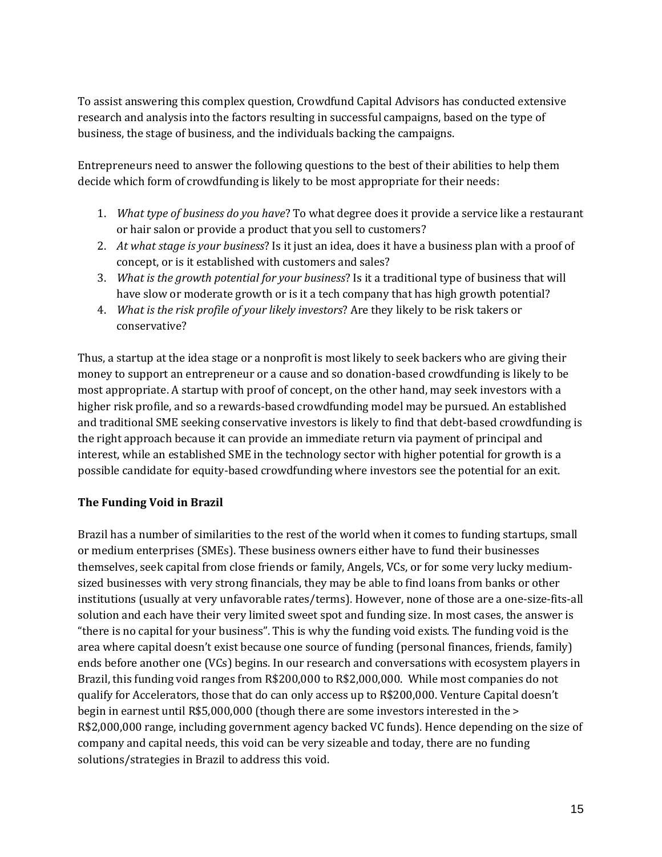To assist answering this complex question, Crowdfund Capital Advisors has conducted extensive research and analysis into the factors resulting in successful campaigns, based on the type of business, the stage of business, and the individuals backing the campaigns.

Entrepreneurs need to answer the following questions to the best of their abilities to help them decide which form of crowdfunding is likely to be most appropriate for their needs:

- 1. *What type of business do you have*? To what degree does it provide a service like a restaurant or hair salon or provide a product that you sell to customers?
- 2. *At what stage is your business*? Is it just an idea, does it have a business plan with a proof of concept, or is it established with customers and sales?
- 3. *What is the growth potential for your business*? Is it a traditional type of business that will have slow or moderate growth or is it a tech company that has high growth potential?
- 4. *What is the risk profile of your likely investors*? Are they likely to be risk takers or conservative?

Thus, a startup at the idea stage or a nonprofit is most likely to seek backers who are giving their money to support an entrepreneur or a cause and so donation-based crowdfunding is likely to be most appropriate. A startup with proof of concept, on the other hand, may seek investors with a higher risk profile, and so a rewards-based crowdfunding model may be pursued. An established and traditional SME seeking conservative investors is likely to find that debt-based crowdfunding is the right approach because it can provide an immediate return via payment of principal and interest, while an established SME in the technology sector with higher potential for growth is a possible candidate for equity-based crowdfunding where investors see the potential for an exit.

# **The Funding Void in Brazil**

Brazil has a number of similarities to the rest of the world when it comes to funding startups, small or medium enterprises (SMEs). These business owners either have to fund their businesses themselves, seek capital from close friends or family, Angels, VCs, or for some very lucky mediumsized businesses with very strong financials, they may be able to find loans from banks or other institutions (usually at very unfavorable rates/terms). However, none of those are a one-size-fits-all solution and each have their very limited sweet spot and funding size. In most cases, the answer is "there is no capital for your business". This is why the funding void exists. The funding void is the area where capital doesn't exist because one source of funding (personal finances, friends, family) ends before another one (VCs) begins. In our research and conversations with ecosystem players in Brazil, this funding void ranges from R\$200,000 to R\$2,000,000. While most companies do not qualify for Accelerators, those that do can only access up to R\$200,000. Venture Capital doesn't begin in earnest until R\$5,000,000 (though there are some investors interested in the > R\$2,000,000 range, including government agency backed VC funds). Hence depending on the size of company and capital needs, this void can be very sizeable and today, there are no funding solutions/strategies in Brazil to address this void.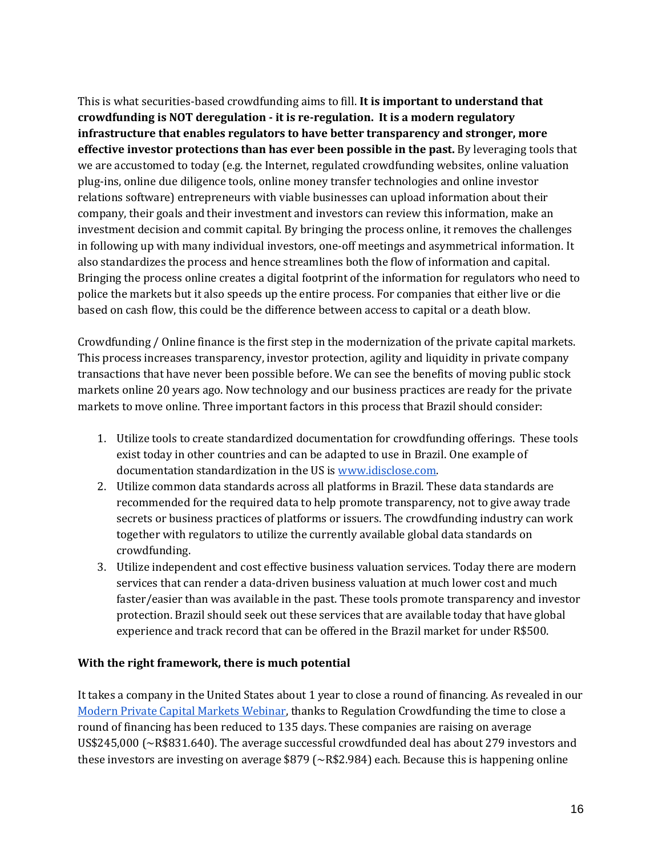This is what securities-based crowdfunding aims to fill. **It is important to understand that crowdfunding is NOT deregulation - it is re-regulation. It is a modern regulatory infrastructure that enables regulators to have better transparency and stronger, more effective investor protections than has ever been possible in the past.** By leveraging tools that we are accustomed to today (e.g. the Internet, regulated crowdfunding websites, online valuation plug-ins, online due diligence tools, online money transfer technologies and online investor relations software) entrepreneurs with viable businesses can upload information about their company, their goals and their investment and investors can review this information, make an investment decision and commit capital. By bringing the process online, it removes the challenges in following up with many individual investors, one-off meetings and asymmetrical information. It also standardizes the process and hence streamlines both the flow of information and capital. Bringing the process online creates a digital footprint of the information for regulators who need to police the markets but it also speeds up the entire process. For companies that either live or die based on cash flow, this could be the difference between access to capital or a death blow.

Crowdfunding / Online finance is the first step in the modernization of the private capital markets. This process increases transparency, investor protection, agility and liquidity in private company transactions that have never been possible before. We can see the benefits of moving public stock markets online 20 years ago. Now technology and our business practices are ready for the private markets to move online. Three important factors in this process that Brazil should consider:

- 1. Utilize tools to create standardized documentation for crowdfunding offerings. These tools exist today in other countries and can be adapted to use in Brazil. One example of documentation standardization in the US is [www.idisclose.com.](http://www.idisclose.com/)
- 2. Utilize common data standards across all platforms in Brazil. These data standards are recommended for the required data to help promote transparency, not to give away trade secrets or business practices of platforms or issuers. The crowdfunding industry can work together with regulators to utilize the currently available global data standards on crowdfunding.
- 3. Utilize independent and cost effective business valuation services. Today there are modern services that can render a data-driven business valuation at much lower cost and much faster/easier than was available in the past. These tools promote transparency and investor protection. Brazil should seek out these services that are available today that have global experience and track record that can be offered in the Brazil market for under R\$500.

#### **With the right framework, there is much potential**

It takes a company in the United States about 1 year to close a round of financing. As revealed in our [Modern Private Capital Markets Webinar,](https://app.webinarjam.net/register/32977/a4eba367fd) thanks to Regulation Crowdfunding the time to close a round of financing has been reduced to 135 days. These companies are raising on average US\$245,000 (~R\$831.640). The average successful crowdfunded deal has about 279 investors and these investors are investing on average \$879 (~R\$2.984) each. Because this is happening online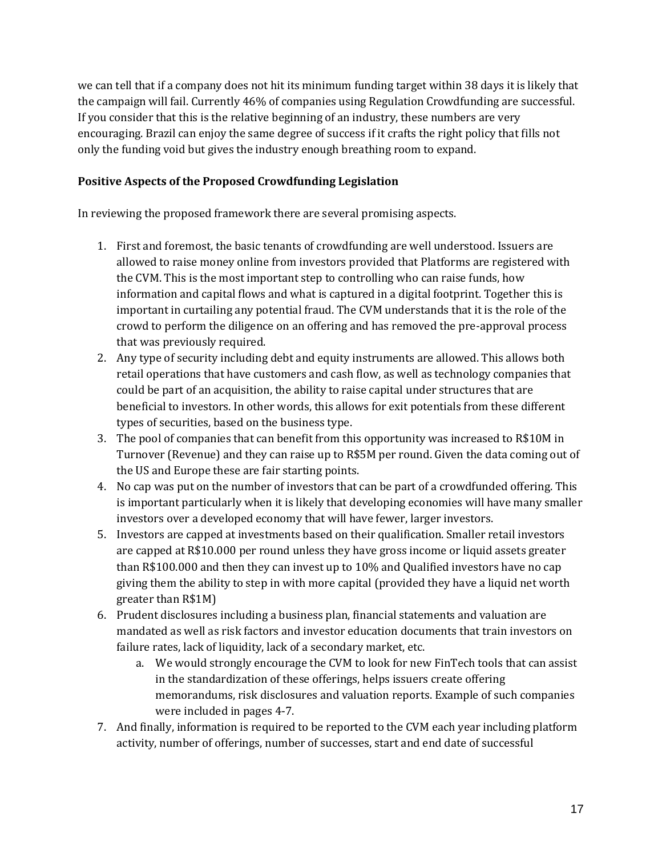we can tell that if a company does not hit its minimum funding target within 38 days it is likely that the campaign will fail. Currently 46% of companies using Regulation Crowdfunding are successful. If you consider that this is the relative beginning of an industry, these numbers are very encouraging. Brazil can enjoy the same degree of success if it crafts the right policy that fills not only the funding void but gives the industry enough breathing room to expand.

#### **Positive Aspects of the Proposed Crowdfunding Legislation**

In reviewing the proposed framework there are several promising aspects.

- 1. First and foremost, the basic tenants of crowdfunding are well understood. Issuers are allowed to raise money online from investors provided that Platforms are registered with the CVM. This is the most important step to controlling who can raise funds, how information and capital flows and what is captured in a digital footprint. Together this is important in curtailing any potential fraud. The CVM understands that it is the role of the crowd to perform the diligence on an offering and has removed the pre-approval process that was previously required.
- 2. Any type of security including debt and equity instruments are allowed. This allows both retail operations that have customers and cash flow, as well as technology companies that could be part of an acquisition, the ability to raise capital under structures that are beneficial to investors. In other words, this allows for exit potentials from these different types of securities, based on the business type.
- 3. The pool of companies that can benefit from this opportunity was increased to R\$10M in Turnover (Revenue) and they can raise up to R\$5M per round. Given the data coming out of the US and Europe these are fair starting points.
- 4. No cap was put on the number of investors that can be part of a crowdfunded offering. This is important particularly when it is likely that developing economies will have many smaller investors over a developed economy that will have fewer, larger investors.
- 5. Investors are capped at investments based on their qualification. Smaller retail investors are capped at R\$10.000 per round unless they have gross income or liquid assets greater than R\$100.000 and then they can invest up to 10% and Qualified investors have no cap giving them the ability to step in with more capital (provided they have a liquid net worth greater than R\$1M)
- 6. Prudent disclosures including a business plan, financial statements and valuation are mandated as well as risk factors and investor education documents that train investors on failure rates, lack of liquidity, lack of a secondary market, etc.
	- a. We would strongly encourage the CVM to look for new FinTech tools that can assist in the standardization of these offerings, helps issuers create offering memorandums, risk disclosures and valuation reports. Example of such companies were included in pages 4-7.
- 7. And finally, information is required to be reported to the CVM each year including platform activity, number of offerings, number of successes, start and end date of successful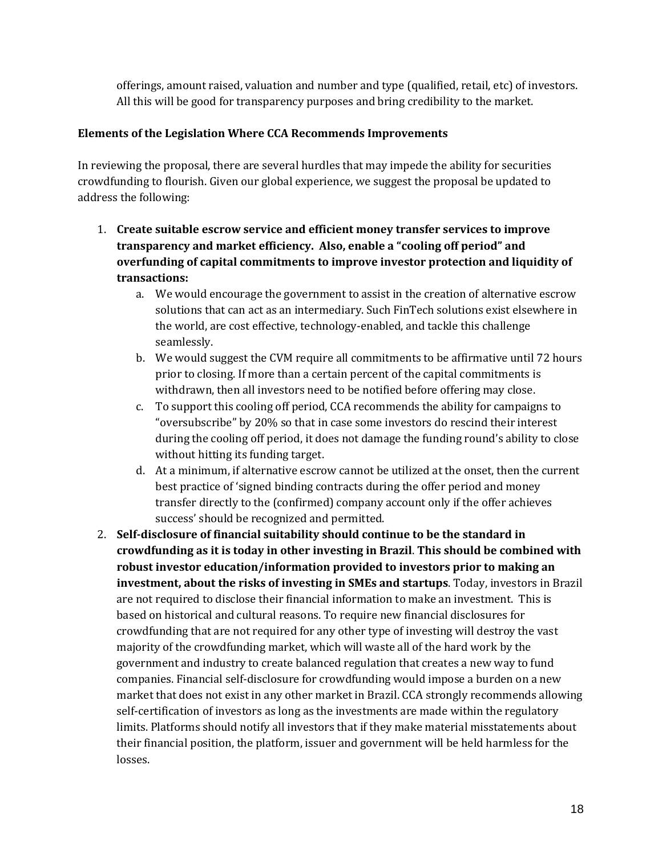offerings, amount raised, valuation and number and type (qualified, retail, etc) of investors. All this will be good for transparency purposes and bring credibility to the market.

#### **Elements of the Legislation Where CCA Recommends Improvements**

In reviewing the proposal, there are several hurdles that may impede the ability for securities crowdfunding to flourish. Given our global experience, we suggest the proposal be updated to address the following:

- 1. **Create suitable escrow service and efficient money transfer services to improve transparency and market efficiency. Also, enable a "cooling off period" and overfunding of capital commitments to improve investor protection and liquidity of transactions:**
	- a. We would encourage the government to assist in the creation of alternative escrow solutions that can act as an intermediary. Such FinTech solutions exist elsewhere in the world, are cost effective, technology-enabled, and tackle this challenge seamlessly.
	- b. We would suggest the CVM require all commitments to be affirmative until 72 hours prior to closing. If more than a certain percent of the capital commitments is withdrawn, then all investors need to be notified before offering may close.
	- c. To support this cooling off period, CCA recommends the ability for campaigns to "oversubscribe" by 20% so that in case some investors do rescind their interest during the cooling off period, it does not damage the funding round's ability to close without hitting its funding target.
	- d. At a minimum, if alternative escrow cannot be utilized at the onset, then the current best practice of 'signed binding contracts during the offer period and money transfer directly to the (confirmed) company account only if the offer achieves success' should be recognized and permitted.
- 2. **Self-disclosure of financial suitability should continue to be the standard in crowdfunding as it is today in other investing in Brazil**. **This should be combined with robust investor education/information provided to investors prior to making an investment, about the risks of investing in SMEs and startups**. Today, investors in Brazil are not required to disclose their financial information to make an investment. This is based on historical and cultural reasons. To require new financial disclosures for crowdfunding that are not required for any other type of investing will destroy the vast majority of the crowdfunding market, which will waste all of the hard work by the government and industry to create balanced regulation that creates a new way to fund companies. Financial self-disclosure for crowdfunding would impose a burden on a new market that does not exist in any other market in Brazil. CCA strongly recommends allowing self-certification of investors as long as the investments are made within the regulatory limits. Platforms should notify all investors that if they make material misstatements about their financial position, the platform, issuer and government will be held harmless for the losses.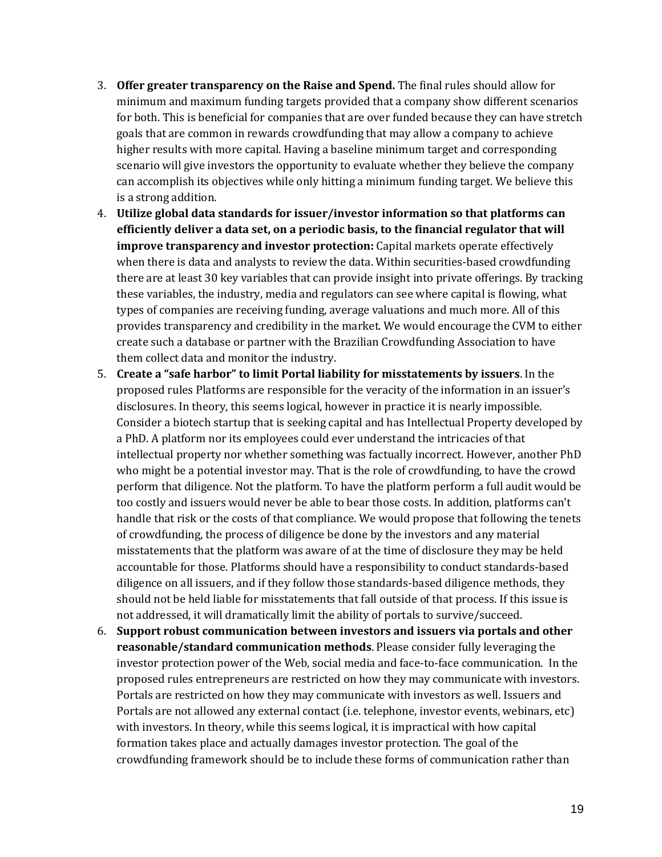- 3. **Offer greater transparency on the Raise and Spend.** The final rules should allow for minimum and maximum funding targets provided that a company show different scenarios for both. This is beneficial for companies that are over funded because they can have stretch goals that are common in rewards crowdfunding that may allow a company to achieve higher results with more capital. Having a baseline minimum target and corresponding scenario will give investors the opportunity to evaluate whether they believe the company can accomplish its objectives while only hitting a minimum funding target. We believe this is a strong addition.
- 4. **Utilize global data standards for issuer/investor information so that platforms can efficiently deliver a data set, on a periodic basis, to the financial regulator that will improve transparency and investor protection:** Capital markets operate effectively when there is data and analysts to review the data. Within securities-based crowdfunding there are at least 30 key variables that can provide insight into private offerings. By tracking these variables, the industry, media and regulators can see where capital is flowing, what types of companies are receiving funding, average valuations and much more. All of this provides transparency and credibility in the market. We would encourage the CVM to either create such a database or partner with the Brazilian Crowdfunding Association to have them collect data and monitor the industry.
- 5. **Create a "safe harbor" to limit Portal liability for misstatements by issuers**. In the proposed rules Platforms are responsible for the veracity of the information in an issuer's disclosures. In theory, this seems logical, however in practice it is nearly impossible. Consider a biotech startup that is seeking capital and has Intellectual Property developed by a PhD. A platform nor its employees could ever understand the intricacies of that intellectual property nor whether something was factually incorrect. However, another PhD who might be a potential investor may. That is the role of crowdfunding, to have the crowd perform that diligence. Not the platform. To have the platform perform a full audit would be too costly and issuers would never be able to bear those costs. In addition, platforms can't handle that risk or the costs of that compliance. We would propose that following the tenets of crowdfunding, the process of diligence be done by the investors and any material misstatements that the platform was aware of at the time of disclosure they may be held accountable for those. Platforms should have a responsibility to conduct standards-based diligence on all issuers, and if they follow those standards-based diligence methods, they should not be held liable for misstatements that fall outside of that process. If this issue is not addressed, it will dramatically limit the ability of portals to survive/succeed.
- 6. **Support robust communication between investors and issuers via portals and other reasonable/standard communication methods**. Please consider fully leveraging the investor protection power of the Web, social media and face-to-face communication. In the proposed rules entrepreneurs are restricted on how they may communicate with investors. Portals are restricted on how they may communicate with investors as well. Issuers and Portals are not allowed any external contact (i.e. telephone, investor events, webinars, etc) with investors. In theory, while this seems logical, it is impractical with how capital formation takes place and actually damages investor protection. The goal of the crowdfunding framework should be to include these forms of communication rather than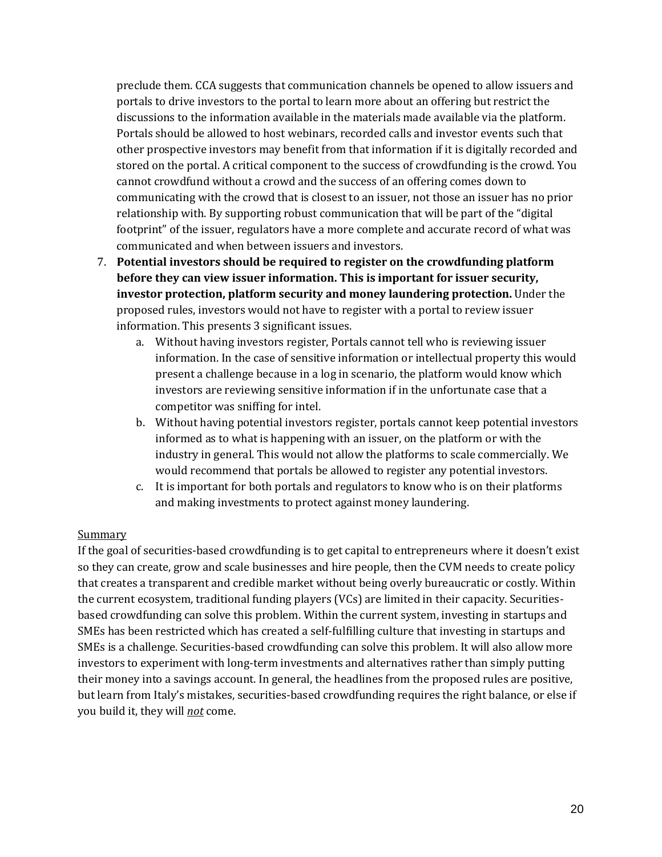preclude them. CCA suggests that communication channels be opened to allow issuers and portals to drive investors to the portal to learn more about an offering but restrict the discussions to the information available in the materials made available via the platform. Portals should be allowed to host webinars, recorded calls and investor events such that other prospective investors may benefit from that information if it is digitally recorded and stored on the portal. A critical component to the success of crowdfunding is the crowd. You cannot crowdfund without a crowd and the success of an offering comes down to communicating with the crowd that is closest to an issuer, not those an issuer has no prior relationship with. By supporting robust communication that will be part of the "digital footprint" of the issuer, regulators have a more complete and accurate record of what was communicated and when between issuers and investors.

- 7. **Potential investors should be required to register on the crowdfunding platform before they can view issuer information. This is important for issuer security, investor protection, platform security and money laundering protection.** Under the proposed rules, investors would not have to register with a portal to review issuer information. This presents 3 significant issues.
	- a. Without having investors register, Portals cannot tell who is reviewing issuer information. In the case of sensitive information or intellectual property this would present a challenge because in a log in scenario, the platform would know which investors are reviewing sensitive information if in the unfortunate case that a competitor was sniffing for intel.
	- b. Without having potential investors register, portals cannot keep potential investors informed as to what is happening with an issuer, on the platform or with the industry in general. This would not allow the platforms to scale commercially. We would recommend that portals be allowed to register any potential investors.
	- c. It is important for both portals and regulators to know who is on their platforms and making investments to protect against money laundering.

#### **Summary**

If the goal of securities-based crowdfunding is to get capital to entrepreneurs where it doesn't exist so they can create, grow and scale businesses and hire people, then the CVM needs to create policy that creates a transparent and credible market without being overly bureaucratic or costly. Within the current ecosystem, traditional funding players (VCs) are limited in their capacity. Securitiesbased crowdfunding can solve this problem. Within the current system, investing in startups and SMEs has been restricted which has created a self-fulfilling culture that investing in startups and SMEs is a challenge. Securities-based crowdfunding can solve this problem. It will also allow more investors to experiment with long-term investments and alternatives rather than simply putting their money into a savings account. In general, the headlines from the proposed rules are positive, but learn from Italy's mistakes, securities-based crowdfunding requires the right balance, or else if you build it, they will *not* come.